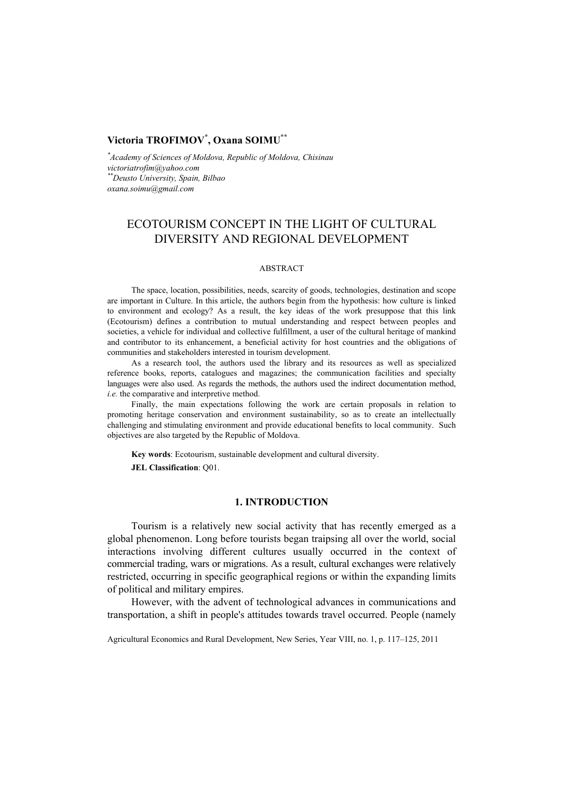# **Victoria TROFIMOV\* , Oxana SOIMU\*\***

*\* Academy of Sciences of Moldova, Republic of Moldova, Chisinau victoriatrofim@yahoo.com \*\*Deusto University, Spain, Bilbao oxana.soimu@gmail.com* 

# ECOTOURISM CONCEPT IN THE LIGHT OF CULTURAL DIVERSITY AND REGIONAL DEVELOPMENT

## ABSTRACT

The space, location, possibilities, needs, scarcity of goods, technologies, destination and scope are important in Culture. In this article, the authors begin from the hypothesis: how culture is linked to environment and ecology? As a result, the key ideas of the work presuppose that this link (Ecotourism) defines a contribution to mutual understanding and respect between peoples and societies, a vehicle for individual and collective fulfillment, a user of the cultural heritage of mankind and contributor to its enhancement, a beneficial activity for host countries and the obligations of communities and stakeholders interested in tourism development.

As a research tool, the authors used the library and its resources as well as specialized reference books, reports, catalogues and magazines; the communication facilities and specialty languages were also used. As regards the methods, the authors used the indirect documentation method, *i.e.* the comparative and interpretive method.

Finally, the main expectations following the work are certain proposals in relation to promoting heritage conservation and environment sustainability, so as to create an intellectually challenging and stimulating environment and provide educational benefits to local community. Such objectives are also targeted by the Republic of Moldova.

**Key words**: Ecotourism, sustainable development and cultural diversity.

**JEL Classification**: Q01.

# **1. INTRODUCTION**

Tourism is a relatively new social activity that has recently emerged as a global phenomenon. Long before tourists began traipsing all over the world, social interactions involving different cultures usually occurred in the context of commercial trading, wars or migrations. As a result, cultural exchanges were relatively restricted, occurring in specific geographical regions or within the expanding limits of political and military empires.

However, with the advent of technological advances in communications and transportation, a shift in people's attitudes towards travel occurred. People (namely

Agricultural Economics and Rural Development, New Series, Year VIII, no. 1, p. 117–125, 2011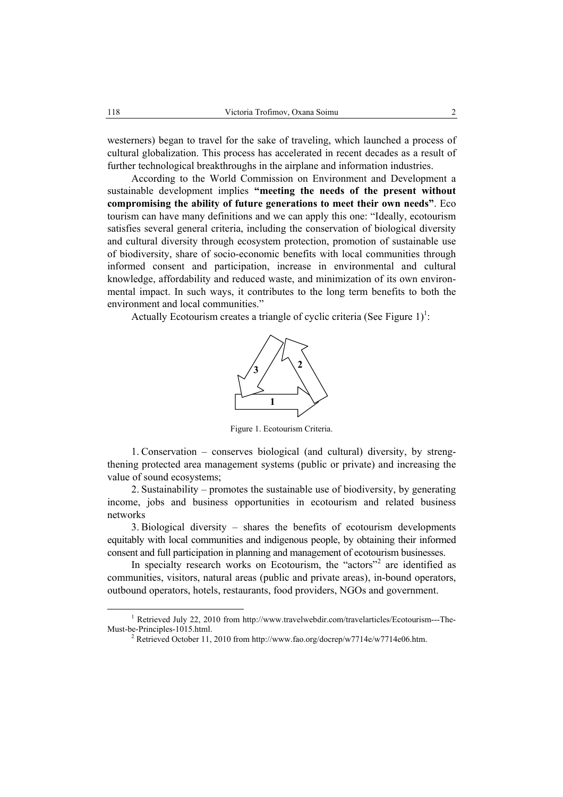westerners) began to travel for the sake of traveling, which launched a process of cultural globalization. This process has accelerated in recent decades as a result of further technological breakthroughs in the airplane and information industries.

According to the World Commission on Environment and Development a sustainable development implies **"meeting the needs of the present without compromising the ability of future generations to meet their own needs"**. Eco tourism can have many definitions and we can apply this one: "Ideally, ecotourism satisfies several general criteria, including the conservation of biological diversity and cultural diversity through ecosystem protection, promotion of sustainable use of biodiversity, share of socio-economic benefits with local communities through informed consent and participation, increase in environmental and cultural knowledge, affordability and reduced waste, and minimization of its own environmental impact. In such ways, it contributes to the long term benefits to both the environment and local communities."

Actually Ecotourism creates a triangle of cyclic criteria (See Figure  $1$ )<sup>1</sup>:



Figure 1. Ecotourism Criteria.

1. Conservation – conserves biological (and cultural) diversity, by strengthening protected area management systems (public or private) and increasing the value of sound ecosystems;

2. Sustainability – promotes the sustainable use of biodiversity, by generating income, jobs and business opportunities in ecotourism and related business networks

3. Biological diversity – shares the benefits of ecotourism developments equitably with local communities and indigenous people, by obtaining their informed consent and full participation in planning and management of ecotourism businesses.

In specialty research works on Ecotourism, the "actors"<sup>2</sup> are identified as communities, visitors, natural areas (public and private areas), in-bound operators, outbound operators, hotels, restaurants, food providers, NGOs and government.

<sup>1&</sup>lt;sup>1</sup> Retrieved July 22, 2010 from http://www.travelwebdir.com/travelarticles/Ecotourism---The-Must-be-Principles-1015.html. 2

<sup>&</sup>lt;sup>2</sup> Retrieved October 11, 2010 from http://www.fao.org/docrep/w7714e/w7714e06.htm.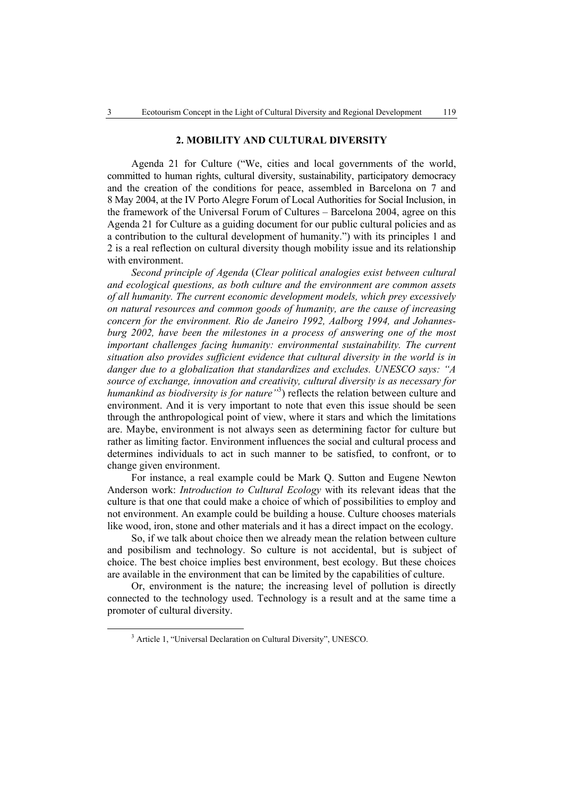# **2. MOBILITY AND CULTURAL DIVERSITY**

Agenda 21 for Culture ("We, cities and local governments of the world, committed to human rights, cultural diversity, sustainability, participatory democracy and the creation of the conditions for peace, assembled in Barcelona on 7 and 8 May 2004, at the IV Porto Alegre Forum of Local Authorities for Social Inclusion, in the framework of the Universal Forum of Cultures – Barcelona 2004, agree on this Agenda 21 for Culture as a guiding document for our public cultural policies and as a contribution to the cultural development of humanity.") with its principles 1 and 2 is a real reflection on cultural diversity though mobility issue and its relationship with environment.

*Second principle of Agenda* (*Clear political analogies exist between cultural and ecological questions, as both culture and the environment are common assets of all humanity. The current economic development models, which prey excessively on natural resources and common goods of humanity, are the cause of increasing concern for the environment. Rio de Janeiro 1992, Aalborg 1994, and Johannesburg 2002, have been the milestones in a process of answering one of the most important challenges facing humanity: environmental sustainability. The current situation also provides sufficient evidence that cultural diversity in the world is in danger due to a globalization that standardizes and excludes. UNESCO says: "A source of exchange, innovation and creativity, cultural diversity is as necessary for humankind as biodiversity is for nature"*<sup>3</sup> ) reflects the relation between culture and environment. And it is very important to note that even this issue should be seen through the anthropological point of view, where it stars and which the limitations are. Maybe, environment is not always seen as determining factor for culture but rather as limiting factor. Environment influences the social and cultural process and determines individuals to act in such manner to be satisfied, to confront, or to change given environment.

For instance, a real example could be Mark Q. Sutton and Eugene Newton Anderson work: *Introduction to Cultural Ecology* with its relevant ideas that the culture is that one that could make a choice of which of possibilities to employ and not environment. An example could be building a house. Culture chooses materials like wood, iron, stone and other materials and it has a direct impact on the ecology.

So, if we talk about choice then we already mean the relation between culture and posibilism and technology. So culture is not accidental, but is subject of choice. The best choice implies best environment, best ecology. But these choices are available in the environment that can be limited by the capabilities of culture.

Or, environment is the nature; the increasing level of pollution is directly connected to the technology used. Technology is a result and at the same time a promoter of cultural diversity.

 <sup>3</sup> <sup>3</sup> Article 1, "Universal Declaration on Cultural Diversity", UNESCO.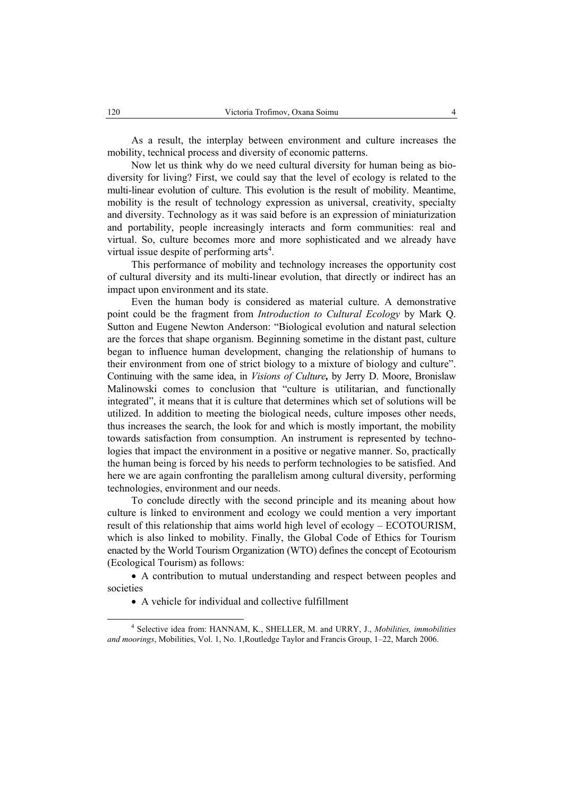As a result, the interplay between environment and culture increases the mobility, technical process and diversity of economic patterns.

Now let us think why do we need cultural diversity for human being as biodiversity for living? First, we could say that the level of ecology is related to the multi-linear evolution of culture. This evolution is the result of mobility. Meantime, mobility is the result of technology expression as universal, creativity, specialty and diversity. Technology as it was said before is an expression of miniaturization and portability, people increasingly interacts and form communities: real and virtual. So, culture becomes more and more sophisticated and we already have virtual issue despite of performing  $arts<sup>4</sup>$ .

This performance of mobility and technology increases the opportunity cost of cultural diversity and its multi-linear evolution, that directly or indirect has an impact upon environment and its state.

Even the human body is considered as material culture. A demonstrative point could be the fragment from *Introduction to Cultural Ecology* by Mark Q. Sutton and Eugene Newton Anderson: "Biological evolution and natural selection are the forces that shape organism. Beginning sometime in the distant past, culture began to influence human development, changing the relationship of humans to their environment from one of strict biology to a mixture of biology and culture". Continuing with the same idea, in *Visions of Culture,* by Jerry D. Moore, Bronislaw Malinowski comes to conclusion that "culture is utilitarian, and functionally integrated", it means that it is culture that determines which set of solutions will be utilized. In addition to meeting the biological needs, culture imposes other needs, thus increases the search, the look for and which is mostly important, the mobility towards satisfaction from consumption. An instrument is represented by technologies that impact the environment in a positive or negative manner. So, practically the human being is forced by his needs to perform technologies to be satisfied. And here we are again confronting the parallelism among cultural diversity, performing technologies, environment and our needs.

To conclude directly with the second principle and its meaning about how culture is linked to environment and ecology we could mention a very important result of this relationship that aims world high level of ecology – ECOTOURISM, which is also linked to mobility. Finally, the Global Code of Ethics for Tourism enacted by the World Tourism Organization (WTO) defines the concept of Ecotourism (Ecological Tourism) as follows:

• A contribution to mutual understanding and respect between peoples and societies

• A vehicle for individual and collective fulfillment

 $\overline{4}$  Selective idea from: HANNAM, K., SHELLER, M. and URRY, J., *Mobilities, immobilities and moorings*, Mobilities, Vol. 1, No. 1,Routledge Taylor and Francis Group, 1–22, March 2006.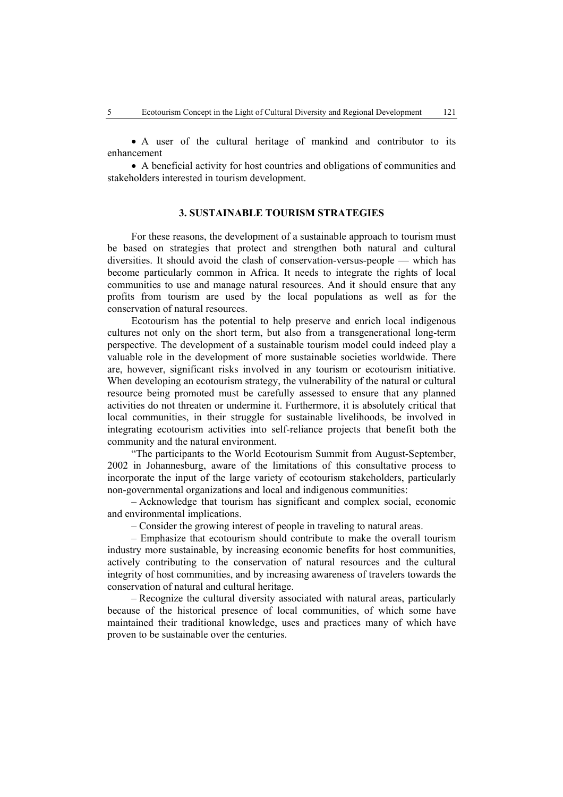• A user of the cultural heritage of mankind and contributor to its enhancement

• A beneficial activity for host countries and obligations of communities and stakeholders interested in tourism development.

# **3. SUSTAINABLE TOURISM STRATEGIES**

For these reasons, the development of a sustainable approach to tourism must be based on strategies that protect and strengthen both natural and cultural diversities. It should avoid the clash of conservation-versus-people — which has become particularly common in Africa. It needs to integrate the rights of local communities to use and manage natural resources. And it should ensure that any profits from tourism are used by the local populations as well as for the conservation of natural resources.

Ecotourism has the potential to help preserve and enrich local indigenous cultures not only on the short term, but also from a transgenerational long-term perspective. The development of a sustainable tourism model could indeed play a valuable role in the development of more sustainable societies worldwide. There are, however, significant risks involved in any tourism or ecotourism initiative. When developing an ecotourism strategy, the vulnerability of the natural or cultural resource being promoted must be carefully assessed to ensure that any planned activities do not threaten or undermine it. Furthermore, it is absolutely critical that local communities, in their struggle for sustainable livelihoods, be involved in integrating ecotourism activities into self-reliance projects that benefit both the community and the natural environment.

"The participants to the World Ecotourism Summit from August-September, 2002 in Johannesburg, aware of the limitations of this consultative process to incorporate the input of the large variety of ecotourism stakeholders, particularly non-governmental organizations and local and indigenous communities:

– Acknowledge that tourism has significant and complex social, economic and environmental implications.

– Consider the growing interest of people in traveling to natural areas.

– Emphasize that ecotourism should contribute to make the overall tourism industry more sustainable, by increasing economic benefits for host communities, actively contributing to the conservation of natural resources and the cultural integrity of host communities, and by increasing awareness of travelers towards the conservation of natural and cultural heritage.

– Recognize the cultural diversity associated with natural areas, particularly because of the historical presence of local communities, of which some have maintained their traditional knowledge, uses and practices many of which have proven to be sustainable over the centuries.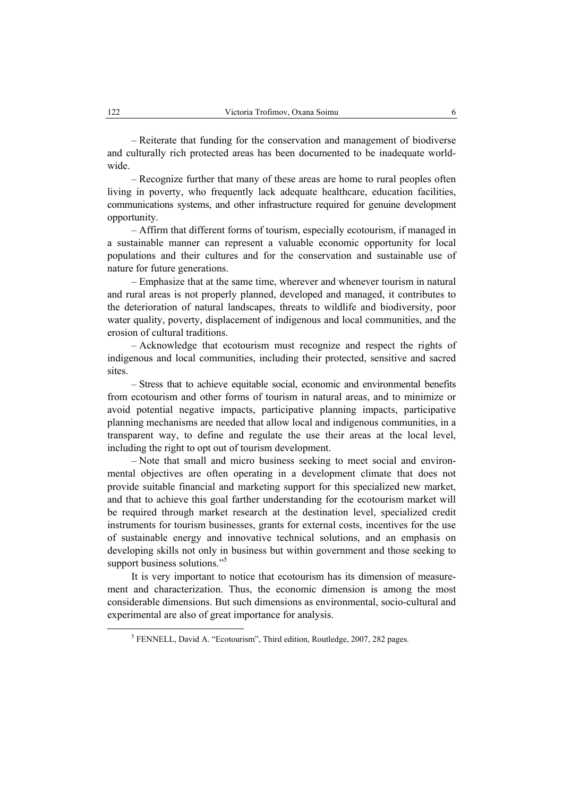– Reiterate that funding for the conservation and management of biodiverse and culturally rich protected areas has been documented to be inadequate worldwide.

– Recognize further that many of these areas are home to rural peoples often living in poverty, who frequently lack adequate healthcare, education facilities, communications systems, and other infrastructure required for genuine development opportunity.

– Affirm that different forms of tourism, especially ecotourism, if managed in a sustainable manner can represent a valuable economic opportunity for local populations and their cultures and for the conservation and sustainable use of nature for future generations.

– Emphasize that at the same time, wherever and whenever tourism in natural and rural areas is not properly planned, developed and managed, it contributes to the deterioration of natural landscapes, threats to wildlife and biodiversity, poor water quality, poverty, displacement of indigenous and local communities, and the erosion of cultural traditions.

– Acknowledge that ecotourism must recognize and respect the rights of indigenous and local communities, including their protected, sensitive and sacred sites.

– Stress that to achieve equitable social, economic and environmental benefits from ecotourism and other forms of tourism in natural areas, and to minimize or avoid potential negative impacts, participative planning impacts, participative planning mechanisms are needed that allow local and indigenous communities, in a transparent way, to define and regulate the use their areas at the local level, including the right to opt out of tourism development.

– Note that small and micro business seeking to meet social and environmental objectives are often operating in a development climate that does not provide suitable financial and marketing support for this specialized new market, and that to achieve this goal farther understanding for the ecotourism market will be required through market research at the destination level, specialized credit instruments for tourism businesses, grants for external costs, incentives for the use of sustainable energy and innovative technical solutions, and an emphasis on developing skills not only in business but within government and those seeking to support business solutions."<sup>5</sup>

It is very important to notice that ecotourism has its dimension of measurement and characterization. Thus, the economic dimension is among the most considerable dimensions. But such dimensions as environmental, socio-cultural and experimental are also of great importance for analysis.

 $\frac{1}{5}$ <sup>5</sup> FENNELL, David A. "Ecotourism", Third edition, Routledge, 2007, 282 pages.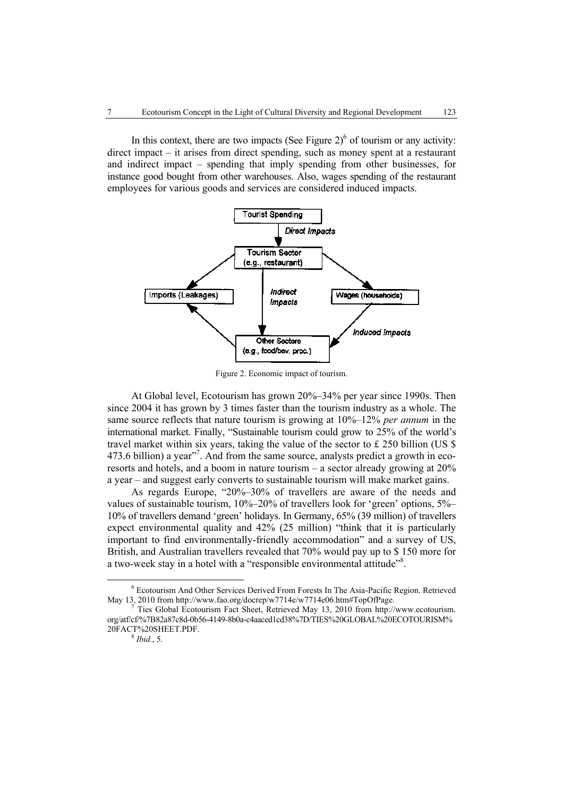In this context, there are two impacts (See Figure  $2)^6$  of tourism or any activity: direct impact – it arises from direct spending, such as money spent at a restaurant and indirect impact – spending that imply spending from other businesses, for instance good bought from other warehouses. Also, wages spending of the restaurant employees for various goods and services are considered induced impacts.



Figure 2. Economic impact of tourism.

At Global level, Ecotourism has grown 20%–34% per year since 1990s. Then since 2004 it has grown by 3 times faster than the tourism industry as a whole. The same source reflects that nature tourism is growing at 10%–12% *per annum* in the international market. Finally, "Sustainable tourism could grow to 25% of the world's travel market within six years, taking the value of the sector to £ 250 billion (US \$ 473.6 billion) a year"<sup>7</sup>. And from the same source, analysts predict a growth in ecoresorts and hotels, and a boom in nature tourism – a sector already growing at 20% a year – and suggest early converts to sustainable tourism will make market gains.

As regards Europe, "20%–30% of travellers are aware of the needs and values of sustainable tourism, 10%–20% of travellers look for 'green' options, 5%– 10% of travellers demand 'green' holidays. In Germany, 65% (39 million) of travellers expect environmental quality and 42% (25 million) "think that it is particularly important to find environmentally-friendly accommodation" and a survey of US, British, and Australian travellers revealed that 70% would pay up to \$ 150 more for a two-week stay in a hotel with a "responsible environmental attitude"<sup>8</sup>.

 $\overline{6}$  Ecotourism And Other Services Derived From Forests In The Asia-Pacific Region. Retrieved May 13, 2010 from http://www.fao.org/docrep/w7714e/w7714e06.htm#TopOfPage.

Ties Global Ecotourism Fact Sheet, Retrieved May 13, 2010 from http://www.ecotourism. org/atf/cf/%7B82a87c8d-0b56-4149-8b0a-c4aaced1cd38%7D/TIES%20GLOBAL%20ECOTOURISM% 20FACT%20SHEET.PDF. 8 *Ibid.*, 5.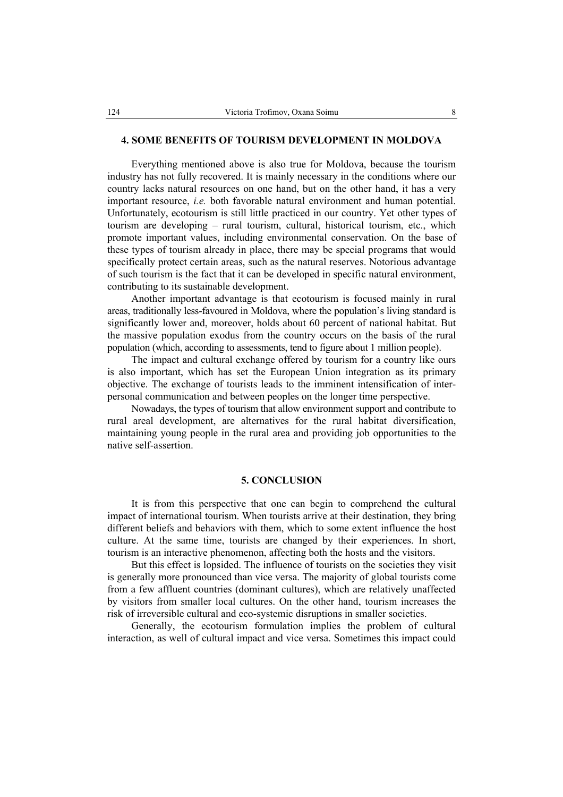# **4. SOME BENEFITS OF TOURISM DEVELOPMENT IN MOLDOVA**

Everything mentioned above is also true for Moldova, because the tourism industry has not fully recovered. It is mainly necessary in the conditions where our country lacks natural resources on one hand, but on the other hand, it has a very important resource, *i.e.* both favorable natural environment and human potential. Unfortunately, ecotourism is still little practiced in our country. Yet other types of tourism are developing – rural tourism, cultural, historical tourism, etc., which promote important values, including environmental conservation. On the base of these types of tourism already in place, there may be special programs that would specifically protect certain areas, such as the natural reserves. Notorious advantage of such tourism is the fact that it can be developed in specific natural environment, contributing to its sustainable development.

Another important advantage is that ecotourism is focused mainly in rural areas, traditionally less-favoured in Moldova, where the population's living standard is significantly lower and, moreover, holds about 60 percent of national habitat. But the massive population exodus from the country occurs on the basis of the rural population (which, according to assessments, tend to figure about 1 million people).

The impact and cultural exchange offered by tourism for a country like ours is also important, which has set the European Union integration as its primary objective. The exchange of tourists leads to the imminent intensification of interpersonal communication and between peoples on the longer time perspective.

Nowadays, the types of tourism that allow environment support and contribute to rural areal development, are alternatives for the rural habitat diversification, maintaining young people in the rural area and providing job opportunities to the native self-assertion.

## **5. CONCLUSION**

It is from this perspective that one can begin to comprehend the cultural impact of international tourism. When tourists arrive at their destination, they bring different beliefs and behaviors with them, which to some extent influence the host culture. At the same time, tourists are changed by their experiences. In short, tourism is an interactive phenomenon, affecting both the hosts and the visitors.

But this effect is lopsided. The influence of tourists on the societies they visit is generally more pronounced than vice versa. The majority of global tourists come from a few affluent countries (dominant cultures), which are relatively unaffected by visitors from smaller local cultures. On the other hand, tourism increases the risk of irreversible cultural and eco-systemic disruptions in smaller societies.

Generally, the ecotourism formulation implies the problem of cultural interaction, as well of cultural impact and vice versa. Sometimes this impact could